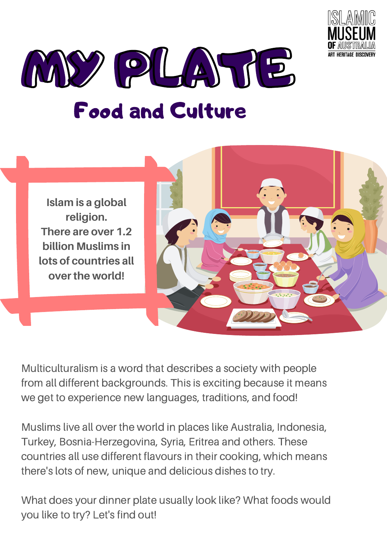



**Islam is a global religion. There are over 1.2 billion Muslims in lots of countries all over the world!**



Multiculturalism is a word that describes a society with people from all different backgrounds. This is exciting because it means we get to experience new languages, traditions, and food!

Muslims live all over the world in places like Australia, Indonesia, Turkey, Bosnia-Herzegovina, Syria, Eritrea and others. These countries all use different flavours in their cooking, which means there's lots of new, unique and delicious dishes to try.

What does your dinner plate usually look like? What foods would you like to try? Let's find out!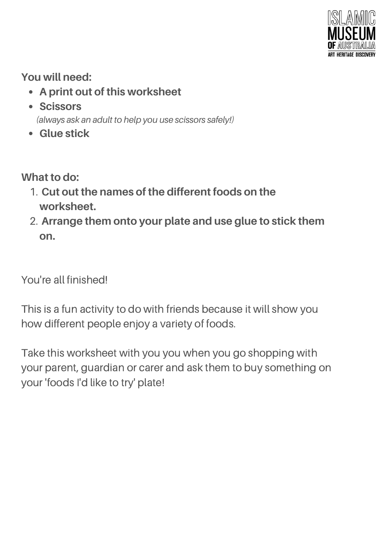

## **You will need:**

- **A print out of this worksheet**
- **Scissors**

*(always ask an adult to help you use scissors safely!)*

**Glue stick**

**What to do:**

- **Cut out the names of the different foods on the** 1. **worksheet.**
- **Arrange them onto your plate and use glue to stick them** 2. **on.**

You're all finished!

This is a fun activity to do with friends because it will show you how different people enjoy a variety of foods.

Take this worksheet with you you when you go shopping with your parent, guardian or carer and ask them to buy something on your 'foods I'd like to try' plate!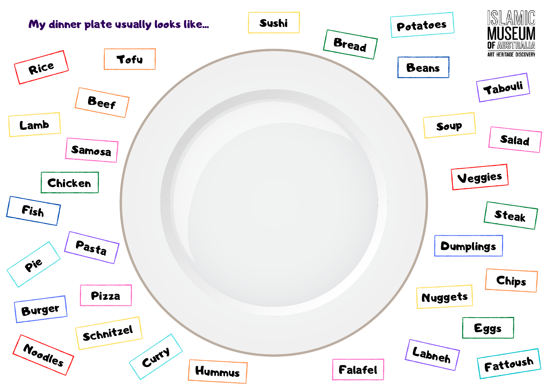